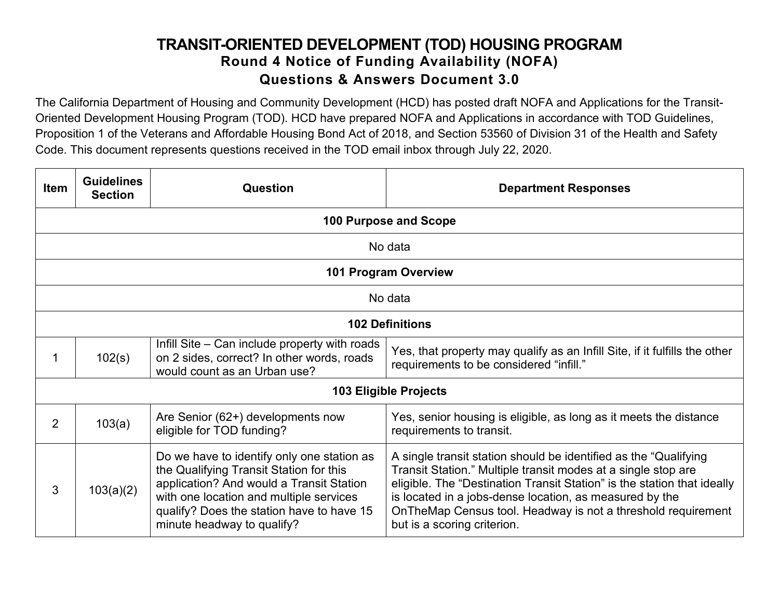## **TRANSIT-ORIENTED DEVELOPMENT (TOD) HOUSING PROGRAM Round 4 Notice of Funding Availability (NOFA) Questions & Answers Document 3.0**

The California Department of Housing and Community Development (HCD) has posted draft NOFA and Applications for the Transit-Oriented Development Housing Program (TOD). HCD have prepared NOFA and Applications in accordance with TOD Guidelines, Proposition 1 of the Veterans and Affordable Housing Bond Act of 2018, and Section 53560 of Division 31 of the Health and Safety Code. This document represents questions received in the TOD email inbox through July 22, 2020.

| <b>Item</b>    | <b>Guidelines</b><br><b>Section</b> | Question                                                                                                                                                                                                                                                | <b>Department Responses</b>                                                                                                                                                                                                                                                                                                                                              |  |
|----------------|-------------------------------------|---------------------------------------------------------------------------------------------------------------------------------------------------------------------------------------------------------------------------------------------------------|--------------------------------------------------------------------------------------------------------------------------------------------------------------------------------------------------------------------------------------------------------------------------------------------------------------------------------------------------------------------------|--|
|                |                                     |                                                                                                                                                                                                                                                         | 100 Purpose and Scope                                                                                                                                                                                                                                                                                                                                                    |  |
|                |                                     |                                                                                                                                                                                                                                                         | No data                                                                                                                                                                                                                                                                                                                                                                  |  |
|                |                                     |                                                                                                                                                                                                                                                         | <b>101 Program Overview</b>                                                                                                                                                                                                                                                                                                                                              |  |
|                |                                     |                                                                                                                                                                                                                                                         | No data                                                                                                                                                                                                                                                                                                                                                                  |  |
|                | <b>102 Definitions</b>              |                                                                                                                                                                                                                                                         |                                                                                                                                                                                                                                                                                                                                                                          |  |
|                | 102(s)                              | Infill Site – Can include property with roads<br>on 2 sides, correct? In other words, roads<br>would count as an Urban use?                                                                                                                             | Yes, that property may qualify as an Infill Site, if it fulfills the other<br>requirements to be considered "infill."                                                                                                                                                                                                                                                    |  |
|                |                                     |                                                                                                                                                                                                                                                         | <b>103 Eligible Projects</b>                                                                                                                                                                                                                                                                                                                                             |  |
| $\overline{2}$ | 103(a)                              | Are Senior (62+) developments now<br>eligible for TOD funding?                                                                                                                                                                                          | Yes, senior housing is eligible, as long as it meets the distance<br>requirements to transit.                                                                                                                                                                                                                                                                            |  |
| 3              | 103(a)(2)                           | Do we have to identify only one station as<br>the Qualifying Transit Station for this<br>application? And would a Transit Station<br>with one location and multiple services<br>qualify? Does the station have to have 15<br>minute headway to qualify? | A single transit station should be identified as the "Qualifying<br>Transit Station." Multiple transit modes at a single stop are<br>eligible. The "Destination Transit Station" is the station that ideally<br>is located in a jobs-dense location, as measured by the<br>On The Map Census tool. Headway is not a threshold requirement<br>but is a scoring criterion. |  |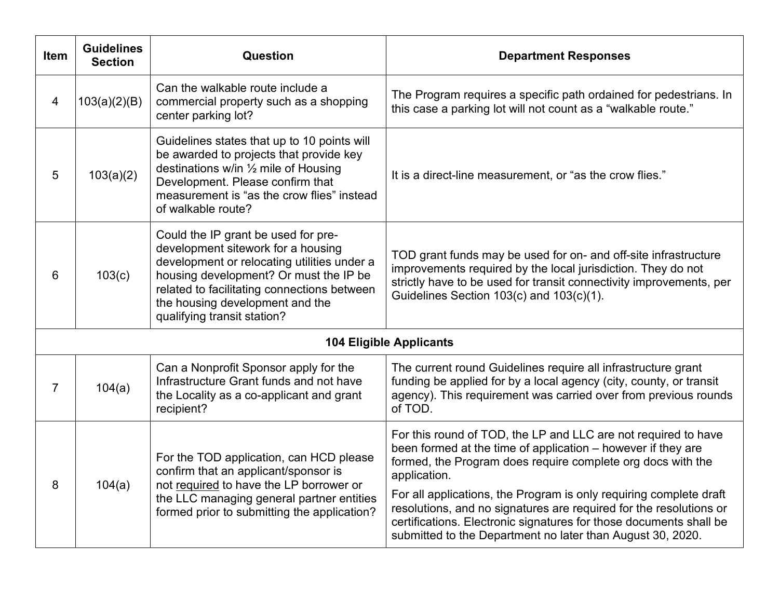| <b>Item</b>    | <b>Guidelines</b><br><b>Section</b> | Question                                                                                                                                                                                                                                                                            | <b>Department Responses</b>                                                                                                                                                                                                                                                                                                                                                                                                                                                                   |
|----------------|-------------------------------------|-------------------------------------------------------------------------------------------------------------------------------------------------------------------------------------------------------------------------------------------------------------------------------------|-----------------------------------------------------------------------------------------------------------------------------------------------------------------------------------------------------------------------------------------------------------------------------------------------------------------------------------------------------------------------------------------------------------------------------------------------------------------------------------------------|
| $\overline{4}$ | 103(a)(2)(B)                        | Can the walkable route include a<br>commercial property such as a shopping<br>center parking lot?                                                                                                                                                                                   | The Program requires a specific path ordained for pedestrians. In<br>this case a parking lot will not count as a "walkable route."                                                                                                                                                                                                                                                                                                                                                            |
| 5              | 103(a)(2)                           | Guidelines states that up to 10 points will<br>be awarded to projects that provide key<br>destinations w/in 1/2 mile of Housing<br>Development. Please confirm that<br>measurement is "as the crow flies" instead<br>of walkable route?                                             | It is a direct-line measurement, or "as the crow flies."                                                                                                                                                                                                                                                                                                                                                                                                                                      |
| 6              | 103(c)                              | Could the IP grant be used for pre-<br>development sitework for a housing<br>development or relocating utilities under a<br>housing development? Or must the IP be<br>related to facilitating connections between<br>the housing development and the<br>qualifying transit station? | TOD grant funds may be used for on- and off-site infrastructure<br>improvements required by the local jurisdiction. They do not<br>strictly have to be used for transit connectivity improvements, per<br>Guidelines Section 103(c) and 103(c)(1).                                                                                                                                                                                                                                            |
|                |                                     |                                                                                                                                                                                                                                                                                     | <b>104 Eligible Applicants</b>                                                                                                                                                                                                                                                                                                                                                                                                                                                                |
| $\overline{7}$ | 104(a)                              | Can a Nonprofit Sponsor apply for the<br>Infrastructure Grant funds and not have<br>the Locality as a co-applicant and grant<br>recipient?                                                                                                                                          | The current round Guidelines require all infrastructure grant<br>funding be applied for by a local agency (city, county, or transit<br>agency). This requirement was carried over from previous rounds<br>of TOD.                                                                                                                                                                                                                                                                             |
| 8              | 104(a)                              | For the TOD application, can HCD please<br>confirm that an applicant/sponsor is<br>not required to have the LP borrower or<br>the LLC managing general partner entities<br>formed prior to submitting the application?                                                              | For this round of TOD, the LP and LLC are not required to have<br>been formed at the time of application – however if they are<br>formed, the Program does require complete org docs with the<br>application.<br>For all applications, the Program is only requiring complete draft<br>resolutions, and no signatures are required for the resolutions or<br>certifications. Electronic signatures for those documents shall be<br>submitted to the Department no later than August 30, 2020. |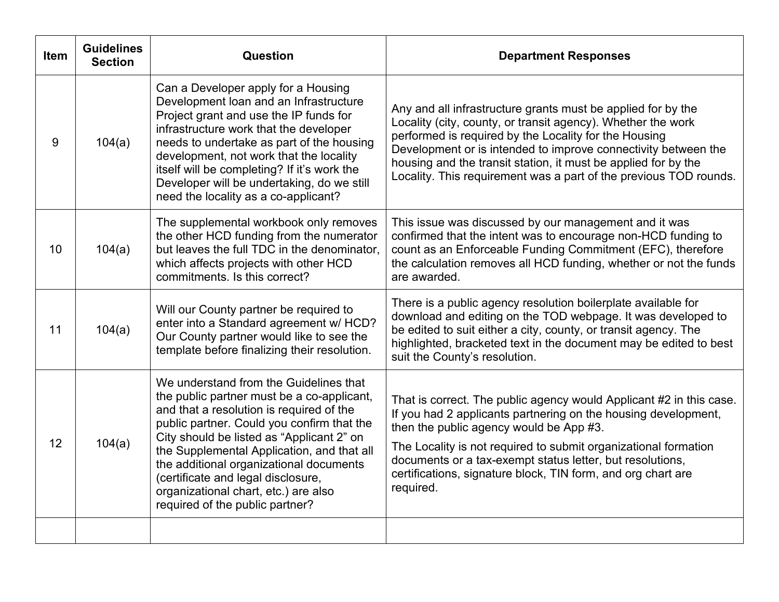| <b>Item</b> | <b>Guidelines</b><br><b>Section</b> | Question                                                                                                                                                                                                                                                                                                                                                                                                                              | <b>Department Responses</b>                                                                                                                                                                                                                                                                                                                                                                    |
|-------------|-------------------------------------|---------------------------------------------------------------------------------------------------------------------------------------------------------------------------------------------------------------------------------------------------------------------------------------------------------------------------------------------------------------------------------------------------------------------------------------|------------------------------------------------------------------------------------------------------------------------------------------------------------------------------------------------------------------------------------------------------------------------------------------------------------------------------------------------------------------------------------------------|
| 9           | 104(a)                              | Can a Developer apply for a Housing<br>Development loan and an Infrastructure<br>Project grant and use the IP funds for<br>infrastructure work that the developer<br>needs to undertake as part of the housing<br>development, not work that the locality<br>itself will be completing? If it's work the<br>Developer will be undertaking, do we still<br>need the locality as a co-applicant?                                        | Any and all infrastructure grants must be applied for by the<br>Locality (city, county, or transit agency). Whether the work<br>performed is required by the Locality for the Housing<br>Development or is intended to improve connectivity between the<br>housing and the transit station, it must be applied for by the<br>Locality. This requirement was a part of the previous TOD rounds. |
| 10          | 104(a)                              | The supplemental workbook only removes<br>the other HCD funding from the numerator<br>but leaves the full TDC in the denominator,<br>which affects projects with other HCD<br>commitments. Is this correct?                                                                                                                                                                                                                           | This issue was discussed by our management and it was<br>confirmed that the intent was to encourage non-HCD funding to<br>count as an Enforceable Funding Commitment (EFC), therefore<br>the calculation removes all HCD funding, whether or not the funds<br>are awarded.                                                                                                                     |
| 11          | 104(a)                              | Will our County partner be required to<br>enter into a Standard agreement w/ HCD?<br>Our County partner would like to see the<br>template before finalizing their resolution.                                                                                                                                                                                                                                                         | There is a public agency resolution boilerplate available for<br>download and editing on the TOD webpage. It was developed to<br>be edited to suit either a city, county, or transit agency. The<br>highlighted, bracketed text in the document may be edited to best<br>suit the County's resolution.                                                                                         |
| 12          | 104(a)                              | We understand from the Guidelines that<br>the public partner must be a co-applicant,<br>and that a resolution is required of the<br>public partner. Could you confirm that the<br>City should be listed as "Applicant 2" on<br>the Supplemental Application, and that all<br>the additional organizational documents<br>(certificate and legal disclosure,<br>organizational chart, etc.) are also<br>required of the public partner? | That is correct. The public agency would Applicant #2 in this case.<br>If you had 2 applicants partnering on the housing development,<br>then the public agency would be App #3.<br>The Locality is not required to submit organizational formation<br>documents or a tax-exempt status letter, but resolutions,<br>certifications, signature block, TIN form, and org chart are<br>required.  |
|             |                                     |                                                                                                                                                                                                                                                                                                                                                                                                                                       |                                                                                                                                                                                                                                                                                                                                                                                                |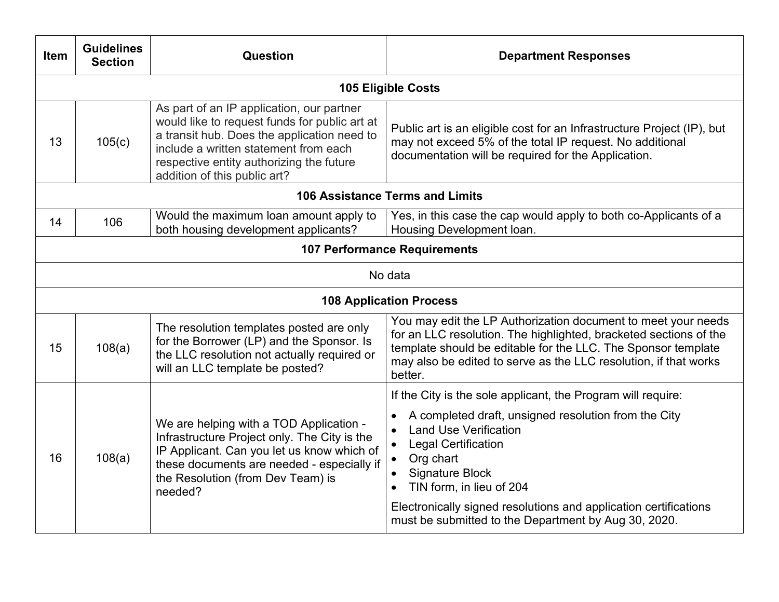| 105(c) | As part of an IP application, our partner                                                                                                                                                                                           | <b>105 Eligible Costs</b>                                                                                                                                                                                                                                                                                                                                |
|--------|-------------------------------------------------------------------------------------------------------------------------------------------------------------------------------------------------------------------------------------|----------------------------------------------------------------------------------------------------------------------------------------------------------------------------------------------------------------------------------------------------------------------------------------------------------------------------------------------------------|
|        |                                                                                                                                                                                                                                     |                                                                                                                                                                                                                                                                                                                                                          |
|        | would like to request funds for public art at<br>a transit hub. Does the application need to<br>include a written statement from each<br>respective entity authorizing the future<br>addition of this public art?                   | Public art is an eligible cost for an Infrastructure Project (IP), but<br>may not exceed 5% of the total IP request. No additional<br>documentation will be required for the Application.                                                                                                                                                                |
|        |                                                                                                                                                                                                                                     | 106 Assistance Terms and Limits                                                                                                                                                                                                                                                                                                                          |
| 106    | Would the maximum loan amount apply to<br>both housing development applicants?                                                                                                                                                      | Yes, in this case the cap would apply to both co-Applicants of a<br>Housing Development loan.                                                                                                                                                                                                                                                            |
|        |                                                                                                                                                                                                                                     | <b>107 Performance Requirements</b>                                                                                                                                                                                                                                                                                                                      |
|        |                                                                                                                                                                                                                                     | No data                                                                                                                                                                                                                                                                                                                                                  |
|        |                                                                                                                                                                                                                                     | <b>108 Application Process</b>                                                                                                                                                                                                                                                                                                                           |
| 108(a) | The resolution templates posted are only<br>for the Borrower (LP) and the Sponsor. Is<br>the LLC resolution not actually required or<br>will an LLC template be posted?                                                             | You may edit the LP Authorization document to meet your needs<br>for an LLC resolution. The highlighted, bracketed sections of the<br>template should be editable for the LLC. The Sponsor template<br>may also be edited to serve as the LLC resolution, if that works<br>better.                                                                       |
|        |                                                                                                                                                                                                                                     | If the City is the sole applicant, the Program will require:                                                                                                                                                                                                                                                                                             |
| 108(a) | We are helping with a TOD Application -<br>Infrastructure Project only. The City is the<br>IP Applicant. Can you let us know which of<br>these documents are needed - especially if<br>the Resolution (from Dev Team) is<br>needed? | A completed draft, unsigned resolution from the City<br><b>Land Use Verification</b><br><b>Legal Certification</b><br>$\bullet$<br>Org chart<br>$\bullet$<br><b>Signature Block</b><br>TIN form, in lieu of 204<br>$\bullet$<br>Electronically signed resolutions and application certifications<br>must be submitted to the Department by Aug 30, 2020. |
|        |                                                                                                                                                                                                                                     |                                                                                                                                                                                                                                                                                                                                                          |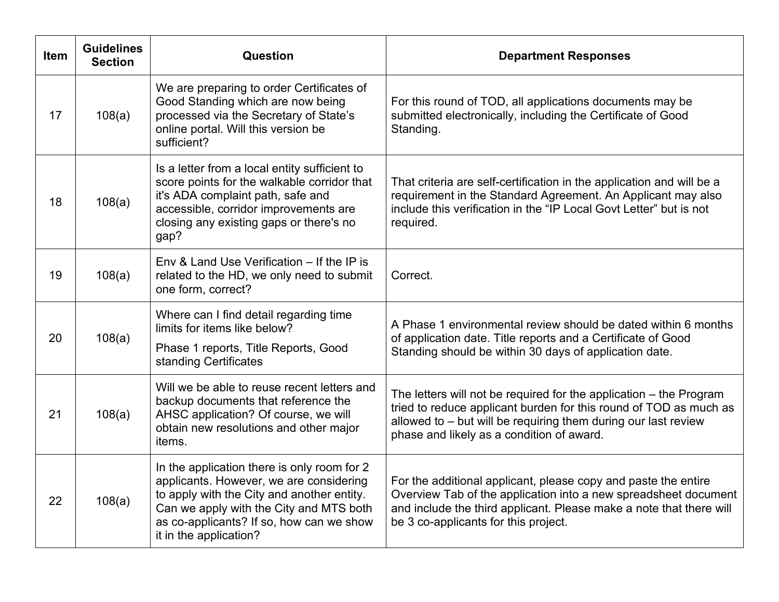| <b>Item</b> | <b>Guidelines</b><br><b>Section</b> | Question                                                                                                                                                                                                                                              | <b>Department Responses</b>                                                                                                                                                                                                                              |
|-------------|-------------------------------------|-------------------------------------------------------------------------------------------------------------------------------------------------------------------------------------------------------------------------------------------------------|----------------------------------------------------------------------------------------------------------------------------------------------------------------------------------------------------------------------------------------------------------|
| 17          | 108(a)                              | We are preparing to order Certificates of<br>Good Standing which are now being<br>processed via the Secretary of State's<br>online portal. Will this version be<br>sufficient?                                                                        | For this round of TOD, all applications documents may be<br>submitted electronically, including the Certificate of Good<br>Standing.                                                                                                                     |
| 18          | 108(a)                              | Is a letter from a local entity sufficient to<br>score points for the walkable corridor that<br>it's ADA complaint path, safe and<br>accessible, corridor improvements are<br>closing any existing gaps or there's no<br>gap?                         | That criteria are self-certification in the application and will be a<br>requirement in the Standard Agreement. An Applicant may also<br>include this verification in the "IP Local Govt Letter" but is not<br>required.                                 |
| 19          | 108(a)                              | Env & Land Use Verification – If the IP is<br>related to the HD, we only need to submit<br>one form, correct?                                                                                                                                         | Correct.                                                                                                                                                                                                                                                 |
| 20          | 108(a)                              | Where can I find detail regarding time<br>limits for items like below?<br>Phase 1 reports, Title Reports, Good<br>standing Certificates                                                                                                               | A Phase 1 environmental review should be dated within 6 months<br>of application date. Title reports and a Certificate of Good<br>Standing should be within 30 days of application date.                                                                 |
| 21          | 108(a)                              | Will we be able to reuse recent letters and<br>backup documents that reference the<br>AHSC application? Of course, we will<br>obtain new resolutions and other major<br>items.                                                                        | The letters will not be required for the application $-$ the Program<br>tried to reduce applicant burden for this round of TOD as much as<br>allowed to - but will be requiring them during our last review<br>phase and likely as a condition of award. |
| 22          | 108(a)                              | In the application there is only room for 2<br>applicants. However, we are considering<br>to apply with the City and another entity.<br>Can we apply with the City and MTS both<br>as co-applicants? If so, how can we show<br>it in the application? | For the additional applicant, please copy and paste the entire<br>Overview Tab of the application into a new spreadsheet document<br>and include the third applicant. Please make a note that there will<br>be 3 co-applicants for this project.         |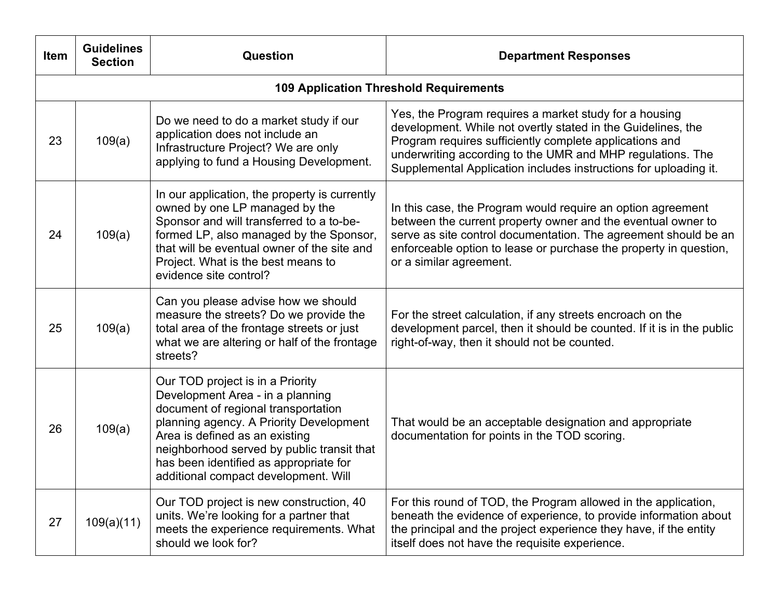| Item | <b>Guidelines</b><br><b>Section</b> | <b>Question</b>                                                                                                                                                                                                                                                                                                          | <b>Department Responses</b>                                                                                                                                                                                                                                                                                         |
|------|-------------------------------------|--------------------------------------------------------------------------------------------------------------------------------------------------------------------------------------------------------------------------------------------------------------------------------------------------------------------------|---------------------------------------------------------------------------------------------------------------------------------------------------------------------------------------------------------------------------------------------------------------------------------------------------------------------|
|      |                                     |                                                                                                                                                                                                                                                                                                                          | <b>109 Application Threshold Requirements</b>                                                                                                                                                                                                                                                                       |
| 23   | 109(a)                              | Do we need to do a market study if our<br>application does not include an<br>Infrastructure Project? We are only<br>applying to fund a Housing Development.                                                                                                                                                              | Yes, the Program requires a market study for a housing<br>development. While not overtly stated in the Guidelines, the<br>Program requires sufficiently complete applications and<br>underwriting according to the UMR and MHP regulations. The<br>Supplemental Application includes instructions for uploading it. |
| 24   | 109(a)                              | In our application, the property is currently<br>owned by one LP managed by the<br>Sponsor and will transferred to a to-be-<br>formed LP, also managed by the Sponsor,<br>that will be eventual owner of the site and<br>Project. What is the best means to<br>evidence site control?                                    | In this case, the Program would require an option agreement<br>between the current property owner and the eventual owner to<br>serve as site control documentation. The agreement should be an<br>enforceable option to lease or purchase the property in question,<br>or a similar agreement.                      |
| 25   | 109(a)                              | Can you please advise how we should<br>measure the streets? Do we provide the<br>total area of the frontage streets or just<br>what we are altering or half of the frontage<br>streets?                                                                                                                                  | For the street calculation, if any streets encroach on the<br>development parcel, then it should be counted. If it is in the public<br>right-of-way, then it should not be counted.                                                                                                                                 |
| 26   | 109(a)                              | Our TOD project is in a Priority<br>Development Area - in a planning<br>document of regional transportation<br>planning agency. A Priority Development<br>Area is defined as an existing<br>neighborhood served by public transit that<br>has been identified as appropriate for<br>additional compact development. Will | That would be an acceptable designation and appropriate<br>documentation for points in the TOD scoring.                                                                                                                                                                                                             |
| 27   | 109(a)(11)                          | Our TOD project is new construction, 40<br>units. We're looking for a partner that<br>meets the experience requirements. What<br>should we look for?                                                                                                                                                                     | For this round of TOD, the Program allowed in the application,<br>beneath the evidence of experience, to provide information about<br>the principal and the project experience they have, if the entity<br>itself does not have the requisite experience.                                                           |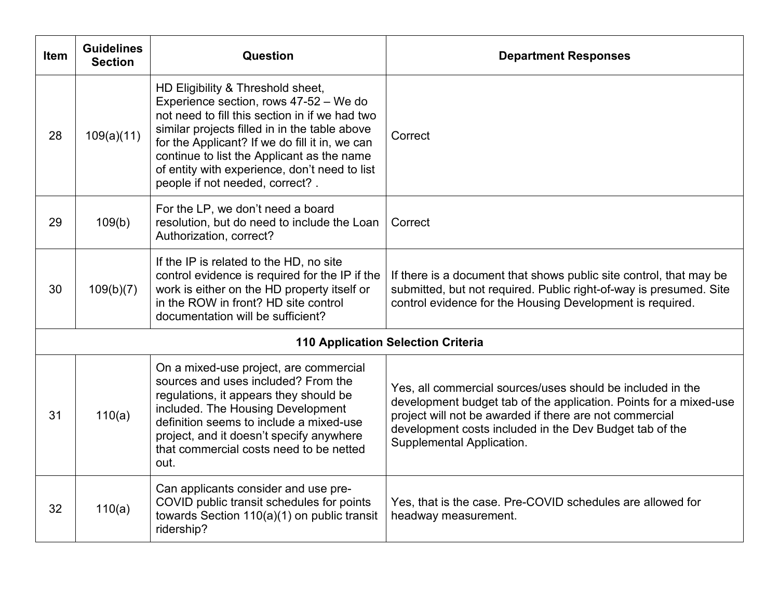| <b>Item</b> | <b>Guidelines</b><br><b>Section</b> | <b>Question</b>                                                                                                                                                                                                                                                                                                                                                    | <b>Department Responses</b>                                                                                                                                                                                                                                                        |
|-------------|-------------------------------------|--------------------------------------------------------------------------------------------------------------------------------------------------------------------------------------------------------------------------------------------------------------------------------------------------------------------------------------------------------------------|------------------------------------------------------------------------------------------------------------------------------------------------------------------------------------------------------------------------------------------------------------------------------------|
| 28          | 109(a)(11)                          | HD Eligibility & Threshold sheet,<br>Experience section, rows 47-52 - We do<br>not need to fill this section in if we had two<br>similar projects filled in in the table above<br>for the Applicant? If we do fill it in, we can<br>continue to list the Applicant as the name<br>of entity with experience, don't need to list<br>people if not needed, correct?. | Correct                                                                                                                                                                                                                                                                            |
| 29          | 109(b)                              | For the LP, we don't need a board<br>resolution, but do need to include the Loan<br>Authorization, correct?                                                                                                                                                                                                                                                        | Correct                                                                                                                                                                                                                                                                            |
| 30          | 109(b)(7)                           | If the IP is related to the HD, no site<br>control evidence is required for the IP if the<br>work is either on the HD property itself or<br>in the ROW in front? HD site control<br>documentation will be sufficient?                                                                                                                                              | If there is a document that shows public site control, that may be<br>submitted, but not required. Public right-of-way is presumed. Site<br>control evidence for the Housing Development is required.                                                                              |
|             |                                     |                                                                                                                                                                                                                                                                                                                                                                    | <b>110 Application Selection Criteria</b>                                                                                                                                                                                                                                          |
| 31          | 110(a)                              | On a mixed-use project, are commercial<br>sources and uses included? From the<br>regulations, it appears they should be<br>included. The Housing Development<br>definition seems to include a mixed-use<br>project, and it doesn't specify anywhere<br>that commercial costs need to be netted<br>out.                                                             | Yes, all commercial sources/uses should be included in the<br>development budget tab of the application. Points for a mixed-use<br>project will not be awarded if there are not commercial<br>development costs included in the Dev Budget tab of the<br>Supplemental Application. |
| 32          | 110(a)                              | Can applicants consider and use pre-<br>COVID public transit schedules for points<br>towards Section 110(a)(1) on public transit<br>ridership?                                                                                                                                                                                                                     | Yes, that is the case. Pre-COVID schedules are allowed for<br>headway measurement.                                                                                                                                                                                                 |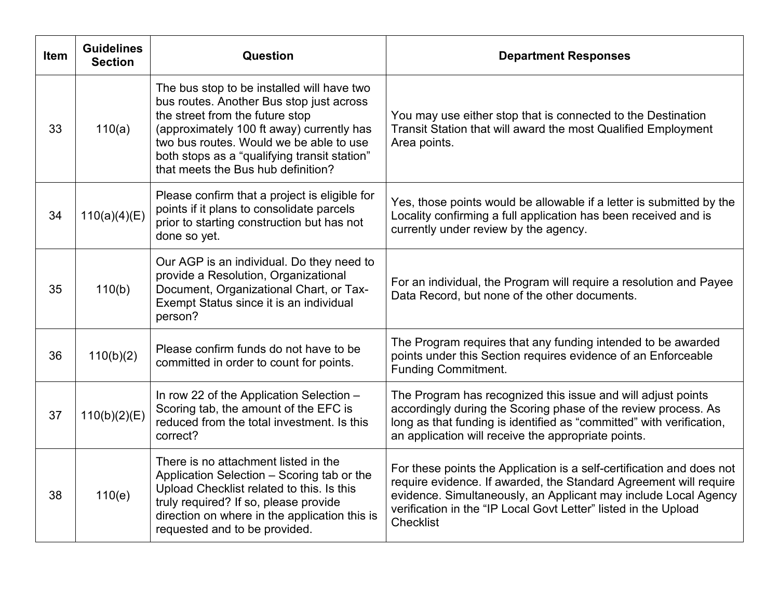| <b>Item</b> | <b>Guidelines</b><br><b>Section</b> | Question                                                                                                                                                                                                                                                                                                | <b>Department Responses</b>                                                                                                                                                                                                                                                                          |
|-------------|-------------------------------------|---------------------------------------------------------------------------------------------------------------------------------------------------------------------------------------------------------------------------------------------------------------------------------------------------------|------------------------------------------------------------------------------------------------------------------------------------------------------------------------------------------------------------------------------------------------------------------------------------------------------|
| 33          | 110(a)                              | The bus stop to be installed will have two<br>bus routes. Another Bus stop just across<br>the street from the future stop<br>(approximately 100 ft away) currently has<br>two bus routes. Would we be able to use<br>both stops as a "qualifying transit station"<br>that meets the Bus hub definition? | You may use either stop that is connected to the Destination<br>Transit Station that will award the most Qualified Employment<br>Area points.                                                                                                                                                        |
| 34          | 110(a)(4)(E)                        | Please confirm that a project is eligible for<br>points if it plans to consolidate parcels<br>prior to starting construction but has not<br>done so yet.                                                                                                                                                | Yes, those points would be allowable if a letter is submitted by the<br>Locality confirming a full application has been received and is<br>currently under review by the agency.                                                                                                                     |
| 35          | 110(b)                              | Our AGP is an individual. Do they need to<br>provide a Resolution, Organizational<br>Document, Organizational Chart, or Tax-<br>Exempt Status since it is an individual<br>person?                                                                                                                      | For an individual, the Program will require a resolution and Payee<br>Data Record, but none of the other documents.                                                                                                                                                                                  |
| 36          | 110(b)(2)                           | Please confirm funds do not have to be<br>committed in order to count for points.                                                                                                                                                                                                                       | The Program requires that any funding intended to be awarded<br>points under this Section requires evidence of an Enforceable<br><b>Funding Commitment.</b>                                                                                                                                          |
| 37          | 110(b)(2)(E)                        | In row 22 of the Application Selection -<br>Scoring tab, the amount of the EFC is<br>reduced from the total investment. Is this<br>correct?                                                                                                                                                             | The Program has recognized this issue and will adjust points<br>accordingly during the Scoring phase of the review process. As<br>long as that funding is identified as "committed" with verification,<br>an application will receive the appropriate points.                                        |
| 38          | 110(e)                              | There is no attachment listed in the<br>Application Selection - Scoring tab or the<br>Upload Checklist related to this. Is this<br>truly required? If so, please provide<br>direction on where in the application this is<br>requested and to be provided.                                              | For these points the Application is a self-certification and does not<br>require evidence. If awarded, the Standard Agreement will require<br>evidence. Simultaneously, an Applicant may include Local Agency<br>verification in the "IP Local Govt Letter" listed in the Upload<br><b>Checklist</b> |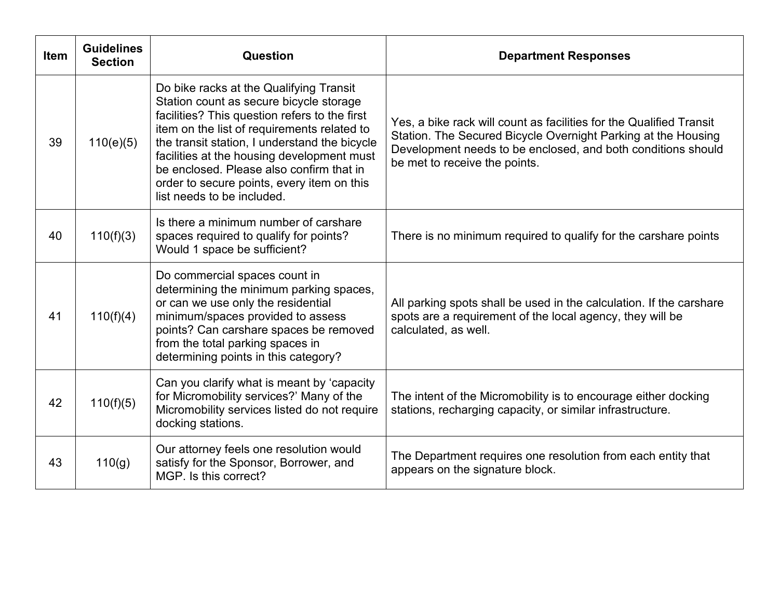| <b>Item</b> | <b>Guidelines</b><br><b>Section</b> | Question                                                                                                                                                                                                                                                                                                                                                                                                  | <b>Department Responses</b>                                                                                                                                                                                                           |
|-------------|-------------------------------------|-----------------------------------------------------------------------------------------------------------------------------------------------------------------------------------------------------------------------------------------------------------------------------------------------------------------------------------------------------------------------------------------------------------|---------------------------------------------------------------------------------------------------------------------------------------------------------------------------------------------------------------------------------------|
| 39          | 110(e)(5)                           | Do bike racks at the Qualifying Transit<br>Station count as secure bicycle storage<br>facilities? This question refers to the first<br>item on the list of requirements related to<br>the transit station, I understand the bicycle<br>facilities at the housing development must<br>be enclosed. Please also confirm that in<br>order to secure points, every item on this<br>list needs to be included. | Yes, a bike rack will count as facilities for the Qualified Transit<br>Station. The Secured Bicycle Overnight Parking at the Housing<br>Development needs to be enclosed, and both conditions should<br>be met to receive the points. |
| 40          | 110(f)(3)                           | Is there a minimum number of carshare<br>spaces required to qualify for points?<br>Would 1 space be sufficient?                                                                                                                                                                                                                                                                                           | There is no minimum required to qualify for the carshare points                                                                                                                                                                       |
| 41          | 110(f)(4)                           | Do commercial spaces count in<br>determining the minimum parking spaces,<br>or can we use only the residential<br>minimum/spaces provided to assess<br>points? Can carshare spaces be removed<br>from the total parking spaces in<br>determining points in this category?                                                                                                                                 | All parking spots shall be used in the calculation. If the carshare<br>spots are a requirement of the local agency, they will be<br>calculated, as well.                                                                              |
| 42          | 110(f)(5)                           | Can you clarify what is meant by 'capacity<br>for Micromobility services?' Many of the<br>Micromobility services listed do not require<br>docking stations.                                                                                                                                                                                                                                               | The intent of the Micromobility is to encourage either docking<br>stations, recharging capacity, or similar infrastructure.                                                                                                           |
| 43          | 110(g)                              | Our attorney feels one resolution would<br>satisfy for the Sponsor, Borrower, and<br>MGP. Is this correct?                                                                                                                                                                                                                                                                                                | The Department requires one resolution from each entity that<br>appears on the signature block.                                                                                                                                       |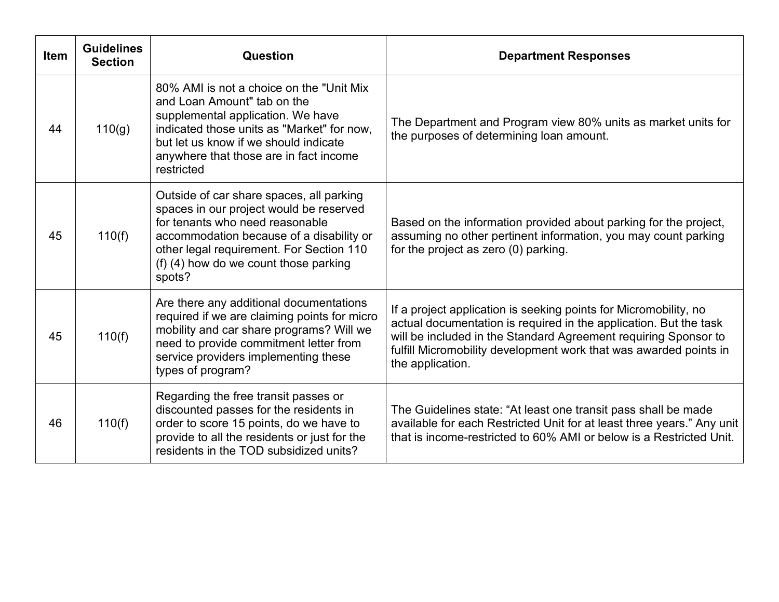| <b>Item</b> | <b>Guidelines</b><br><b>Section</b> | Question                                                                                                                                                                                                                                                          | <b>Department Responses</b>                                                                                                                                                                                                                                                                       |
|-------------|-------------------------------------|-------------------------------------------------------------------------------------------------------------------------------------------------------------------------------------------------------------------------------------------------------------------|---------------------------------------------------------------------------------------------------------------------------------------------------------------------------------------------------------------------------------------------------------------------------------------------------|
| 44          | 110(g)                              | 80% AMI is not a choice on the "Unit Mix"<br>and Loan Amount" tab on the<br>supplemental application. We have<br>indicated those units as "Market" for now,<br>but let us know if we should indicate<br>anywhere that those are in fact income<br>restricted      | The Department and Program view 80% units as market units for<br>the purposes of determining loan amount.                                                                                                                                                                                         |
| 45          | 110(f)                              | Outside of car share spaces, all parking<br>spaces in our project would be reserved<br>for tenants who need reasonable<br>accommodation because of a disability or<br>other legal requirement. For Section 110<br>(f) (4) how do we count those parking<br>spots? | Based on the information provided about parking for the project,<br>assuming no other pertinent information, you may count parking<br>for the project as zero (0) parking.                                                                                                                        |
| 45          | 110(f)                              | Are there any additional documentations<br>required if we are claiming points for micro<br>mobility and car share programs? Will we<br>need to provide commitment letter from<br>service providers implementing these<br>types of program?                        | If a project application is seeking points for Micromobility, no<br>actual documentation is required in the application. But the task<br>will be included in the Standard Agreement requiring Sponsor to<br>fulfill Micromobility development work that was awarded points in<br>the application. |
| 46          | 110(f)                              | Regarding the free transit passes or<br>discounted passes for the residents in<br>order to score 15 points, do we have to<br>provide to all the residents or just for the<br>residents in the TOD subsidized units?                                               | The Guidelines state: "At least one transit pass shall be made<br>available for each Restricted Unit for at least three years." Any unit<br>that is income-restricted to 60% AMI or below is a Restricted Unit.                                                                                   |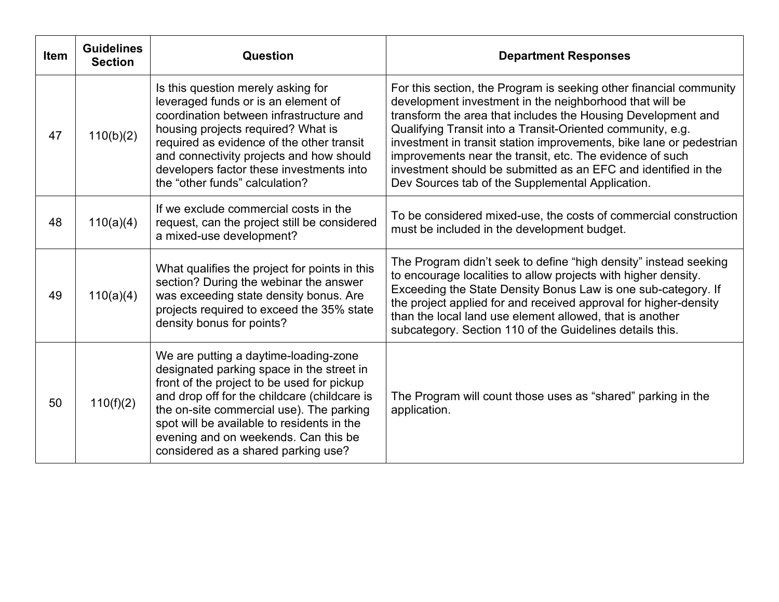| <b>Item</b> | <b>Guidelines</b><br><b>Section</b> | Question                                                                                                                                                                                                                                                                                                                                                  | <b>Department Responses</b>                                                                                                                                                                                                                                                                                                                                                                                                                                                                                          |
|-------------|-------------------------------------|-----------------------------------------------------------------------------------------------------------------------------------------------------------------------------------------------------------------------------------------------------------------------------------------------------------------------------------------------------------|----------------------------------------------------------------------------------------------------------------------------------------------------------------------------------------------------------------------------------------------------------------------------------------------------------------------------------------------------------------------------------------------------------------------------------------------------------------------------------------------------------------------|
| 47          | 110(b)(2)                           | Is this question merely asking for<br>leveraged funds or is an element of<br>coordination between infrastructure and<br>housing projects required? What is<br>required as evidence of the other transit<br>and connectivity projects and how should<br>developers factor these investments into<br>the "other funds" calculation?                         | For this section, the Program is seeking other financial community<br>development investment in the neighborhood that will be<br>transform the area that includes the Housing Development and<br>Qualifying Transit into a Transit-Oriented community, e.g.<br>investment in transit station improvements, bike lane or pedestrian<br>improvements near the transit, etc. The evidence of such<br>investment should be submitted as an EFC and identified in the<br>Dev Sources tab of the Supplemental Application. |
| 48          | 110(a)(4)                           | If we exclude commercial costs in the<br>request, can the project still be considered<br>a mixed-use development?                                                                                                                                                                                                                                         | To be considered mixed-use, the costs of commercial construction<br>must be included in the development budget.                                                                                                                                                                                                                                                                                                                                                                                                      |
| 49          | 110(a)(4)                           | What qualifies the project for points in this<br>section? During the webinar the answer<br>was exceeding state density bonus. Are<br>projects required to exceed the 35% state<br>density bonus for points?                                                                                                                                               | The Program didn't seek to define "high density" instead seeking<br>to encourage localities to allow projects with higher density.<br>Exceeding the State Density Bonus Law is one sub-category. If<br>the project applied for and received approval for higher-density<br>than the local land use element allowed, that is another<br>subcategory. Section 110 of the Guidelines details this.                                                                                                                      |
| 50          | 110(f)(2)                           | We are putting a daytime-loading-zone<br>designated parking space in the street in<br>front of the project to be used for pickup<br>and drop off for the childcare (childcare is<br>the on-site commercial use). The parking<br>spot will be available to residents in the<br>evening and on weekends. Can this be<br>considered as a shared parking use? | The Program will count those uses as "shared" parking in the<br>application.                                                                                                                                                                                                                                                                                                                                                                                                                                         |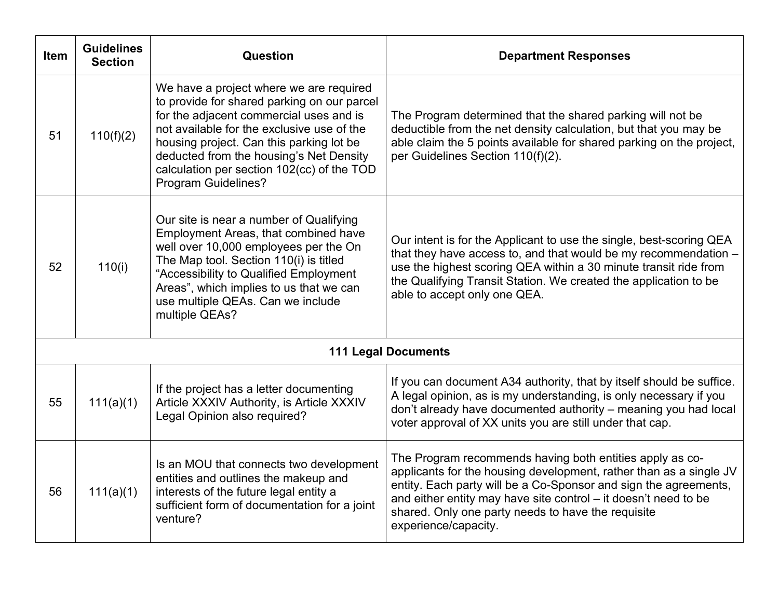| <b>Item</b> | <b>Guidelines</b><br><b>Section</b> | Question                                                                                                                                                                                                                                                                                                                                           | <b>Department Responses</b>                                                                                                                                                                                                                                                                                                                         |
|-------------|-------------------------------------|----------------------------------------------------------------------------------------------------------------------------------------------------------------------------------------------------------------------------------------------------------------------------------------------------------------------------------------------------|-----------------------------------------------------------------------------------------------------------------------------------------------------------------------------------------------------------------------------------------------------------------------------------------------------------------------------------------------------|
| 51          | 110(f)(2)                           | We have a project where we are required<br>to provide for shared parking on our parcel<br>for the adjacent commercial uses and is<br>not available for the exclusive use of the<br>housing project. Can this parking lot be<br>deducted from the housing's Net Density<br>calculation per section 102(cc) of the TOD<br><b>Program Guidelines?</b> | The Program determined that the shared parking will not be<br>deductible from the net density calculation, but that you may be<br>able claim the 5 points available for shared parking on the project,<br>per Guidelines Section 110(f)(2).                                                                                                         |
| 52          | 110(i)                              | Our site is near a number of Qualifying<br>Employment Areas, that combined have<br>well over 10,000 employees per the On<br>The Map tool. Section 110(i) is titled<br>"Accessibility to Qualified Employment<br>Areas", which implies to us that we can<br>use multiple QEAs. Can we include<br>multiple QEAs?                                     | Our intent is for the Applicant to use the single, best-scoring QEA<br>that they have access to, and that would be my recommendation -<br>use the highest scoring QEA within a 30 minute transit ride from<br>the Qualifying Transit Station. We created the application to be<br>able to accept only one QEA.                                      |
|             |                                     |                                                                                                                                                                                                                                                                                                                                                    | <b>111 Legal Documents</b>                                                                                                                                                                                                                                                                                                                          |
| 55          | 111(a)(1)                           | If the project has a letter documenting<br>Article XXXIV Authority, is Article XXXIV<br>Legal Opinion also required?                                                                                                                                                                                                                               | If you can document A34 authority, that by itself should be suffice.<br>A legal opinion, as is my understanding, is only necessary if you<br>don't already have documented authority - meaning you had local<br>voter approval of XX units you are still under that cap.                                                                            |
| 56          | 111(a)(1)                           | Is an MOU that connects two development<br>entities and outlines the makeup and<br>interests of the future legal entity a<br>sufficient form of documentation for a joint<br>venture?                                                                                                                                                              | The Program recommends having both entities apply as co-<br>applicants for the housing development, rather than as a single JV<br>entity. Each party will be a Co-Sponsor and sign the agreements,<br>and either entity may have site control - it doesn't need to be<br>shared. Only one party needs to have the requisite<br>experience/capacity. |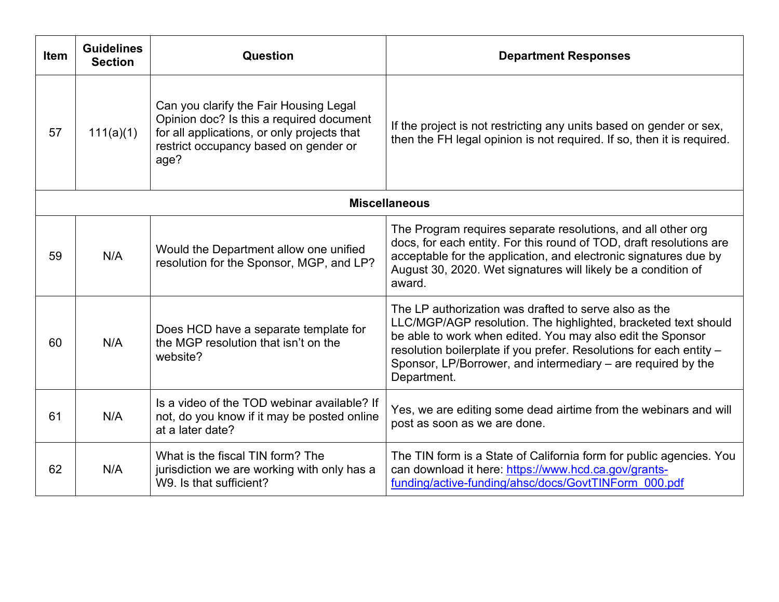| <b>Item</b>          | <b>Guidelines</b><br><b>Section</b> | Question                                                                                                                                                                           | <b>Department Responses</b>                                                                                                                                                                                                                                                                                                                 |  |  |  |
|----------------------|-------------------------------------|------------------------------------------------------------------------------------------------------------------------------------------------------------------------------------|---------------------------------------------------------------------------------------------------------------------------------------------------------------------------------------------------------------------------------------------------------------------------------------------------------------------------------------------|--|--|--|
| 57                   | 111(a)(1)                           | Can you clarify the Fair Housing Legal<br>Opinion doc? Is this a required document<br>for all applications, or only projects that<br>restrict occupancy based on gender or<br>age? | If the project is not restricting any units based on gender or sex,<br>then the FH legal opinion is not required. If so, then it is required.                                                                                                                                                                                               |  |  |  |
| <b>Miscellaneous</b> |                                     |                                                                                                                                                                                    |                                                                                                                                                                                                                                                                                                                                             |  |  |  |
| 59                   | N/A                                 | Would the Department allow one unified<br>resolution for the Sponsor, MGP, and LP?                                                                                                 | The Program requires separate resolutions, and all other org<br>docs, for each entity. For this round of TOD, draft resolutions are<br>acceptable for the application, and electronic signatures due by<br>August 30, 2020. Wet signatures will likely be a condition of<br>award.                                                          |  |  |  |
| 60                   | N/A                                 | Does HCD have a separate template for<br>the MGP resolution that isn't on the<br>website?                                                                                          | The LP authorization was drafted to serve also as the<br>LLC/MGP/AGP resolution. The highlighted, bracketed text should<br>be able to work when edited. You may also edit the Sponsor<br>resolution boilerplate if you prefer. Resolutions for each entity -<br>Sponsor, LP/Borrower, and intermediary – are required by the<br>Department. |  |  |  |
| 61                   | N/A                                 | Is a video of the TOD webinar available? If<br>not, do you know if it may be posted online<br>at a later date?                                                                     | Yes, we are editing some dead airtime from the webinars and will<br>post as soon as we are done.                                                                                                                                                                                                                                            |  |  |  |
| 62                   | N/A                                 | What is the fiscal TIN form? The<br>jurisdiction we are working with only has a<br>W9. Is that sufficient?                                                                         | The TIN form is a State of California form for public agencies. You<br>can download it here: https://www.hcd.ca.gov/grants-<br>funding/active-funding/ahsc/docs/GovtTINForm 000.pdf                                                                                                                                                         |  |  |  |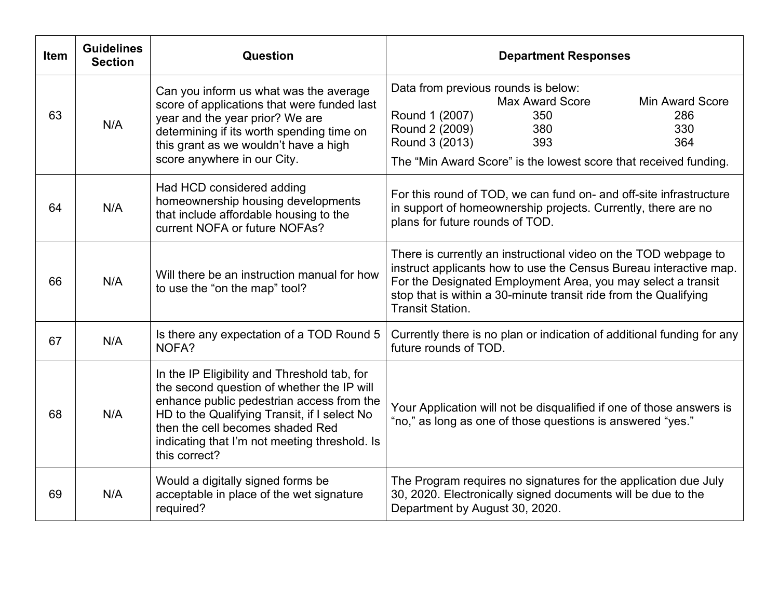| <b>Item</b> | <b>Guidelines</b><br><b>Section</b> | Question                                                                                                                                                                                                                                                                                      | <b>Department Responses</b>                                                                                                                                                                                                                                                                         |
|-------------|-------------------------------------|-----------------------------------------------------------------------------------------------------------------------------------------------------------------------------------------------------------------------------------------------------------------------------------------------|-----------------------------------------------------------------------------------------------------------------------------------------------------------------------------------------------------------------------------------------------------------------------------------------------------|
| 63          | N/A                                 | Can you inform us what was the average<br>score of applications that were funded last<br>year and the year prior? We are<br>determining if its worth spending time on<br>this grant as we wouldn't have a high<br>score anywhere in our City.                                                 | Data from previous rounds is below:<br><b>Max Award Score</b><br><b>Min Award Score</b><br>Round 1 (2007)<br>350<br>286<br>Round 2 (2009)<br>380<br>330<br>Round 3 (2013)<br>393<br>364<br>The "Min Award Score" is the lowest score that received funding.                                         |
| 64          | N/A                                 | Had HCD considered adding<br>homeownership housing developments<br>that include affordable housing to the<br>current NOFA or future NOFAs?                                                                                                                                                    | For this round of TOD, we can fund on- and off-site infrastructure<br>in support of homeownership projects. Currently, there are no<br>plans for future rounds of TOD.                                                                                                                              |
| 66          | N/A                                 | Will there be an instruction manual for how<br>to use the "on the map" tool?                                                                                                                                                                                                                  | There is currently an instructional video on the TOD webpage to<br>instruct applicants how to use the Census Bureau interactive map.<br>For the Designated Employment Area, you may select a transit<br>stop that is within a 30-minute transit ride from the Qualifying<br><b>Transit Station.</b> |
| 67          | N/A                                 | Is there any expectation of a TOD Round 5<br>NOFA?                                                                                                                                                                                                                                            | Currently there is no plan or indication of additional funding for any<br>future rounds of TOD.                                                                                                                                                                                                     |
| 68          | N/A                                 | In the IP Eligibility and Threshold tab, for<br>the second question of whether the IP will<br>enhance public pedestrian access from the<br>HD to the Qualifying Transit, if I select No<br>then the cell becomes shaded Red<br>indicating that I'm not meeting threshold. Is<br>this correct? | Your Application will not be disqualified if one of those answers is<br>"no," as long as one of those questions is answered "yes."                                                                                                                                                                  |
| 69          | N/A                                 | Would a digitally signed forms be<br>acceptable in place of the wet signature<br>required?                                                                                                                                                                                                    | The Program requires no signatures for the application due July<br>30, 2020. Electronically signed documents will be due to the<br>Department by August 30, 2020.                                                                                                                                   |